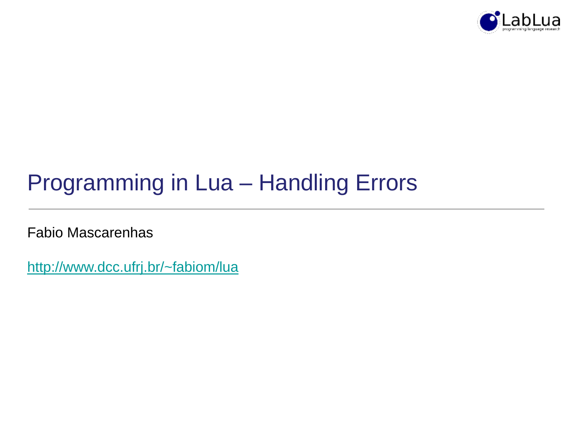

## Programming in Lua – Handling Errors

Fabio Mascarenhas

<http://www.dcc.ufrj.br/~fabiom/lua>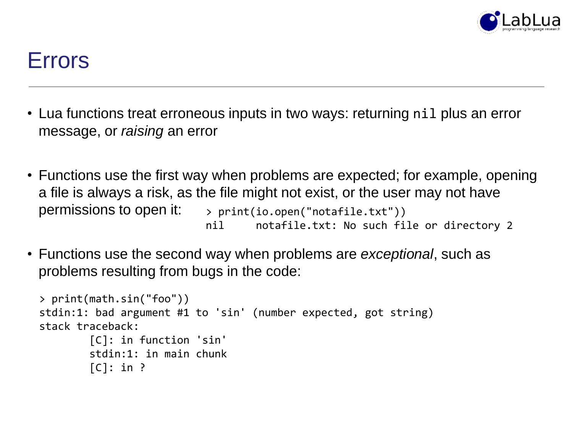

#### Errors

- Lua functions treat erroneous inputs in two ways: returning nil plus an error message, or *raising* an error
- Functions use the first way when problems are expected; for example, opening a file is always a risk, as the file might not exist, or the user may not have permissions to open it: > print(io.open("notafile.txt")) nil notafile.txt: No such file or directory 2
- Functions use the second way when problems are *exceptional*, such as problems resulting from bugs in the code:

```
> print(math.sin("foo"))
stdin:1: bad argument #1 to 'sin' (number expected, got string)
stack traceback:
        [C]: in function 'sin'
        stdin:1: in main chunk
        [C]: in ?
```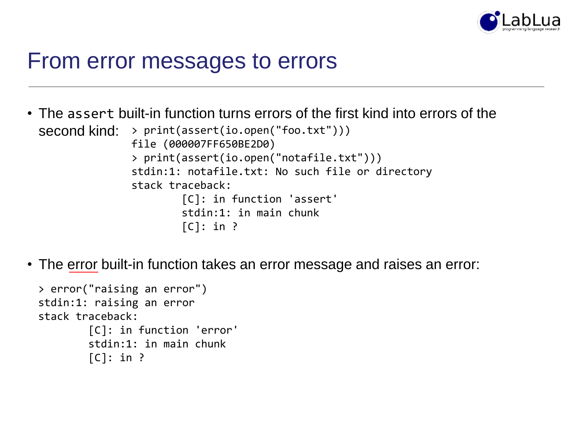

#### From error messages to errors

- The assert built-in function turns errors of the first kind into errors of the second kind: > print(assert(io.open("foo.txt"))) file (000007FF650BE2D0) > print(assert(io.open("notafile.txt"))) stdin:1: notafile.txt: No such file or directory stack traceback: [C]: in function 'assert' stdin:1: in main chunk  $[C]$ : in ?
- The error built-in function takes an error message and raises an error:

```
> error("raising an error")
stdin:1: raising an error
stack traceback:
        [C]: in function 'error'
        stdin:1: in main chunk
        [C]: in ?
```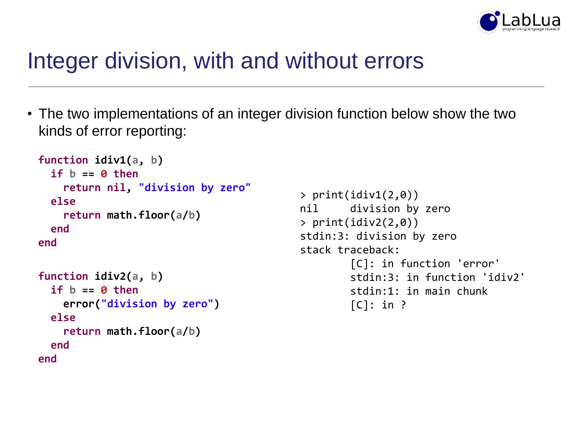

#### Integer division, with and without errors

• The two implementations of an integer division function below show the two kinds of error reporting:

```
function idiv1(a, b)
  if b == 0 then
    return nil, "division by zero"
 else
    return math.floor(a/b)
 end
end
function idiv2(a, b)
  if b == 0 then
    error("division by zero")
  else
```

```
return math.floor(a/b)
 end
end
```

```
> print(idiv1(2,0))
nil division by zero
> print(idiv2(2,0))
stdin:3: division by zero
stack traceback:
        [C]: in function 'error'
        stdin:3: in function 'idiv2'
        stdin:1: in main chunk
        [C]: in ?
```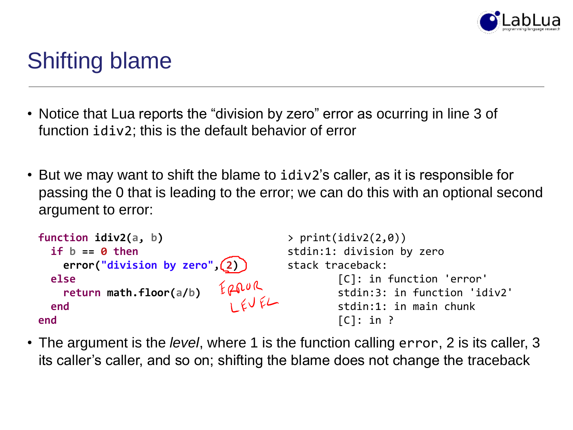

## Shifting blame

- Notice that Lua reports the "division by zero" error as ocurring in line 3 of function idiv2; this is the default behavior of error
- But we may want to shift the blame to idiv2's caller, as it is responsible for passing the 0 that is leading to the error; we can do this with an optional second argument to error:

```
function idiv2(a, b)
                                         > print(idiv2(2,0))
 if b == 0 then
                                         stdin:1: division by zero
    error("division by zero", 2)
                                         stack traceback:
 else
                                                  [C]: in function 'error'
                             ERROR<br>REVEL
    return math.floor(a/b)
                                                  stdin:3: in function 'idiv2'
                                                  stdin:1: in main chunk
 end
                                                  [C]: in ?
end
```
• The argument is the *level*, where 1 is the function calling error, 2 is its caller, 3 its caller's caller, and so on; shifting the blame does not change the traceback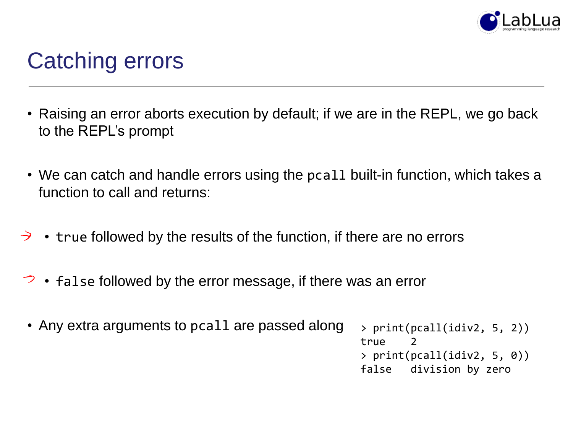

## Catching errors

- Raising an error aborts execution by default; if we are in the REPL, we go back to the REPL's prompt
- We can catch and handle errors using the pcall built-in function, which takes a function to call and returns:
- true followed by the results of the function, if there are no errors  $\rightarrow$
- false followed by the error message, if there was an error
- Any extra arguments to pcall are passed along > print(pcall(idiv2, 5, 2)) true 2 > print(pcall(idiv2, 5, 0)) false division by zero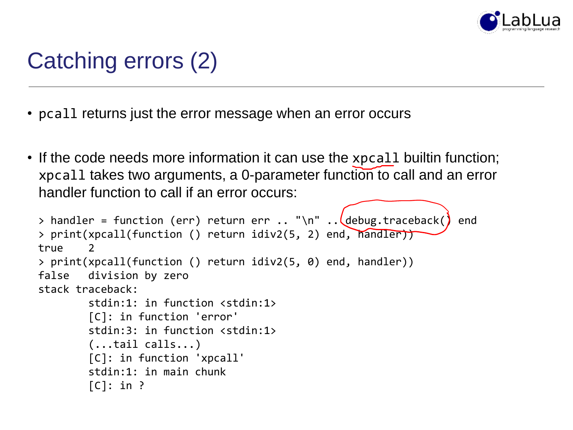

# Catching errors (2)

- pcall returns just the error message when an error occurs
- If the code needs more information it can use the xpcall builtin function; xpcall takes two arguments, a 0-parameter function to call and an error handler function to call if an error occurs:

```
> handler = function (err) return err \ldots "\n" \ldots debug.traceback() end
> print(xpcall(function () return idiv2(5, 2) end, handler))
true
> print(xpcall(function () return idiv2(5, 0) end, handler))
false division by zero
stack traceback:
        stdin:1: in function <stdin:1>
        [C]: in function 'error'
        stdin:3: in function <stdin:1>
        (...tail calls...)
        [C]: in function 'xpcall'
        stdin:1: in main chunk
        [C]: in ?
```